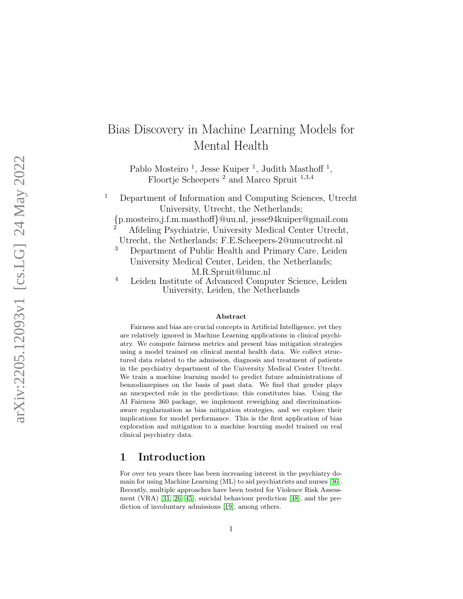# Bias Discovery in Machine Learning Models for Mental Health

Pablo Mosteiro<sup>1</sup>, Jesse Kuiper<sup>1</sup>, Judith Masthoff<sup>1</sup>, Floortje Scheepers<sup>2</sup> and Marco Spruit<sup>1,3,4</sup>

<sup>1</sup> Department of Information and Computing Sciences, Utrecht University, Utrecht, the Netherlands;

{p.mosteiro,j.f.m.masthoff }@uu.nl, jesse94kuiper@gmail.com

<sup>2</sup> Afdeling Psychiatrie, University Medical Center Utrecht, Utrecht, the Netherlands; F.E.Scheepers-2@umcutrecht.nl

<sup>3</sup> Department of Public Health and Primary Care, Leiden

University Medical Center, Leiden, the Netherlands; M.R.Spruit@lumc.nl

<sup>4</sup> Leiden Institute of Advanced Computer Science, Leiden University, Leiden, the Netherlands

#### Abstract

Fairness and bias are crucial concepts in Artificial Intelligence, yet they are relatively ignored in Machine Learning applications in clinical psychiatry. We compute fairness metrics and present bias mitigation strategies using a model trained on clinical mental health data. We collect structured data related to the admission, diagnosis and treatment of patients in the psychiatry department of the University Medical Center Utrecht. We train a machine learning model to predict future administrations of benzodiazepines on the basis of past data. We find that gender plays an unexpected role in the predictions; this constitutes bias. Using the AI Fairness 360 package, we implement reweighing and discriminationaware regularization as bias mitigation strategies, and we explore their implications for model performance. This is the first application of bias exploration and mitigation to a machine learning model trained on real clinical psychiatry data.

### 1 Introduction

For over ten years there has been increasing interest in the psychiatry domain for using Machine Learning (ML) to aid psychiatrists and nurses [\[36\]](#page-18-0). Recently, multiple approaches have been tested for Violence Risk Assessment (VRA) [\[31,](#page-18-1) [26,](#page-17-0) [45\]](#page-19-0), suicidal behaviour prediction [\[48\]](#page-19-1), and the prediction of involuntary admissions [\[19\]](#page-17-1), among others.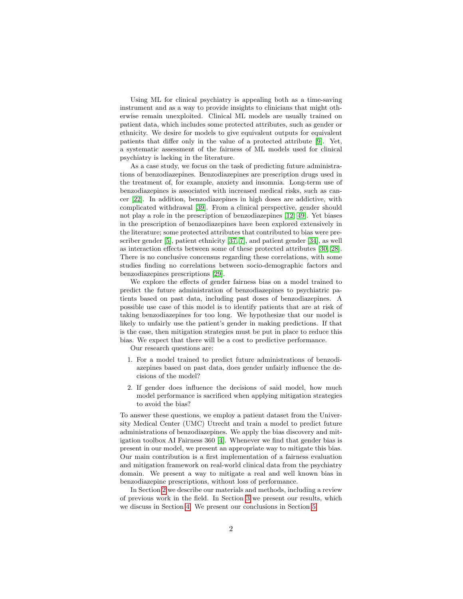Using ML for clinical psychiatry is appealing both as a time-saving instrument and as a way to provide insights to clinicians that might otherwise remain unexploited. Clinical ML models are usually trained on patient data, which includes some protected attributes, such as gender or ethnicity. We desire for models to give equivalent outputs for equivalent patients that differ only in the value of a protected attribute [\[9\]](#page-15-0). Yet, a systematic assessment of the fairness of ML models used for clinical psychiatry is lacking in the literature.

As a case study, we focus on the task of predicting future administrations of benzodiazepines. Benzodiazepines are prescription drugs used in the treatment of, for example, anxiety and insomnia. Long-term use of benzodiazepines is associated with increased medical risks, such as cancer [\[22\]](#page-17-2). In addition, benzodiazepines in high doses are addictive, with complicated withdrawal [\[39\]](#page-18-2). From a clinical perspective, gender should not play a role in the prescription of benzodiazepines [\[12,](#page-16-0) [49\]](#page-19-2). Yet biases in the prescription of benzodiazepines have been explored extensively in the literature; some protected attributes that contributed to bias were prescriber gender [\[5\]](#page-15-1), patient ethnicity [\[37,](#page-18-3) [7\]](#page-15-2), and patient gender [\[34\]](#page-18-4), as well as interaction effects between some of these protected attributes [\[30,](#page-18-5) [28\]](#page-17-3). There is no conclusive concensus regarding these correlations, with some studies finding no correlations between socio-demographic factors and benzodiazepines prescriptions [\[29\]](#page-17-4).

We explore the effects of gender fairness bias on a model trained to predict the future administration of benzodiazepines to psychiatric patients based on past data, including past doses of benzodiazepines. A possible use case of this model is to identify patients that are at risk of taking benzodiazepines for too long. We hypothesize that our model is likely to unfairly use the patient's gender in making predictions. If that is the case, then mitigation strategies must be put in place to reduce this bias. We expect that there will be a cost to predictive performance.

Our research questions are:

- 1. For a model trained to predict future administrations of benzodiazepines based on past data, does gender unfairly influence the decisions of the model?
- 2. If gender does influence the decisions of said model, how much model performance is sacrificed when applying mitigation strategies to avoid the bias?

To answer these questions, we employ a patient dataset from the University Medical Center (UMC) Utrecht and train a model to predict future administrations of benzodiazepines. We apply the bias discovery and mitigation toolbox AI Fairness 360 [\[4\]](#page-14-0). Whenever we find that gender bias is present in our model, we present an appropriate way to mitigate this bias. Our main contribution is a first implementation of a fairness evaluation and mitigation framework on real-world clinical data from the psychiatry domain. We present a way to mitigate a real and well known bias in benzodiazepine prescriptions, without loss of performance.

In Section [2](#page-2-0) we describe our materials and methods, including a review of previous work in the field. In Section [3](#page-8-0) we present our results, which we discuss in Section [4.](#page-8-1) We present our conclusions in Section [5.](#page-13-0)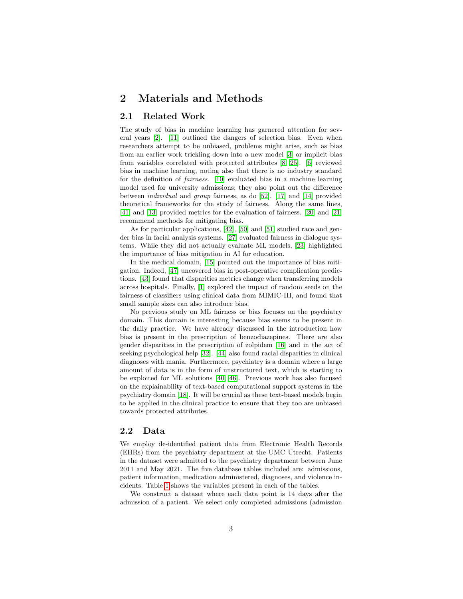### <span id="page-2-0"></span>2 Materials and Methods

#### 2.1 Related Work

The study of bias in machine learning has garnered attention for several years [\[2\]](#page-14-1). [\[11\]](#page-15-3) outlined the dangers of selection bias. Even when researchers attempt to be unbiased, problems might arise, such as bias from an earlier work trickling down into a new model [\[3\]](#page-14-2) or implicit bias from variables correlated with protected attributes [\[8,](#page-15-4) [25\]](#page-17-5). [\[6\]](#page-15-5) reviewed bias in machine learning, noting also that there is no industry standard for the definition of fairness. [\[10\]](#page-15-6) evaluated bias in a machine learning model used for university admissions; they also point out the difference between individual and group fairness, as do [\[52\]](#page-20-0). [\[17\]](#page-16-1) and [\[14\]](#page-16-2) provided theoretical frameworks for the study of fairness. Along the same lines, [\[41\]](#page-19-3) and [\[13\]](#page-16-3) provided metrics for the evaluation of fairness. [\[20\]](#page-17-6) and [\[21\]](#page-17-7) recommend methods for mitigating bias.

As for particular applications, [\[42\]](#page-19-4), [\[50\]](#page-19-5) and [\[51\]](#page-19-6) studied race and gender bias in facial analysis systems. [\[27\]](#page-17-8) evaluated fairness in dialogue systems. While they did not actually evaluate ML models, [\[23\]](#page-17-9) highlighted the importance of bias mitigation in AI for education.

In the medical domain, [\[15\]](#page-16-4) pointed out the importance of bias mitigation. Indeed, [\[47\]](#page-19-7) uncovered bias in post-operative complication predictions. [\[43\]](#page-19-8) found that disparities metrics change when transferring models across hospitals. Finally, [\[1\]](#page-14-3) explored the impact of random seeds on the fairness of classifiers using clinical data from MIMIC-III, and found that small sample sizes can also introduce bias.

No previous study on ML fairness or bias focuses on the psychiatry domain. This domain is interesting because bias seems to be present in the daily practice. We have already discussed in the introduction how bias is present in the prescription of benzodiazepines. There are also gender disparities in the prescription of zolpidem [\[16\]](#page-16-5) and in the act of seeking psychological help [\[32\]](#page-18-6). [\[44\]](#page-19-9) also found racial disparities in clinical diagnoses with mania. Furthermore, psychiatry is a domain where a large amount of data is in the form of unstructured text, which is starting to be exploited for ML solutions [\[40,](#page-18-7) [46\]](#page-19-10). Previous work has also focused on the explainability of text-based computational support systems in the psychiatry domain [\[18\]](#page-16-6). It will be crucial as these text-based models begin to be applied in the clinical practice to ensure that they too are unbiased towards protected attributes.

#### <span id="page-2-1"></span>2.2 Data

We employ de-identified patient data from Electronic Health Records (EHRs) from the psychiatry department at the UMC Utrecht. Patients in the dataset were admitted to the psychiatry department between June 2011 and May 2021. The five database tables included are: admissions, patient information, medication administered, diagnoses, and violence incidents. Table [1](#page-3-0) shows the variables present in each of the tables.

We construct a dataset where each data point is 14 days after the admission of a patient. We select only completed admissions (admission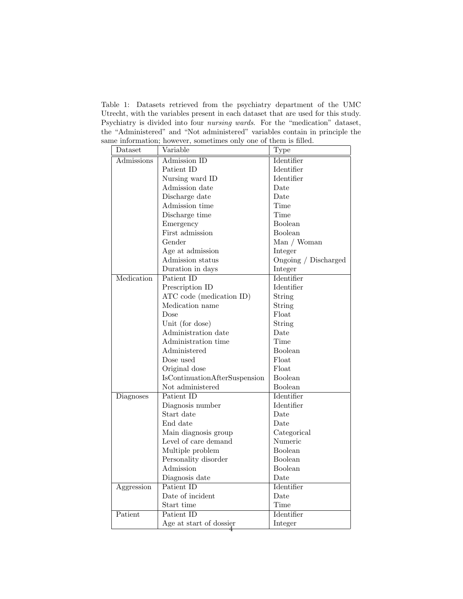<span id="page-3-0"></span>Table 1: Datasets retrieved from the psychiatry department of the UMC Utrecht, with the variables present in each dataset that are used for this study. Psychiatry is divided into four nursing wards. For the "medication" dataset, the "Administered" and "Not administered" variables contain in principle the same information; however, sometimes only one of them is filled.

| Dataset    | Variable                             | Type                 |  |
|------------|--------------------------------------|----------------------|--|
| Admissions | Admission ID                         | <b>Identifier</b>    |  |
|            | Patient ID                           | Identifier           |  |
|            | Nursing ward ID                      | Identifier           |  |
|            | Admission date                       | Date                 |  |
|            | Discharge date                       | Date                 |  |
|            | Admission time                       | Time                 |  |
|            | Discharge time                       | Time                 |  |
|            | Emergency                            | Boolean              |  |
|            | First admission                      | Boolean              |  |
|            | Gender                               | Man / Woman          |  |
|            | Age at admission                     | Integer              |  |
|            | Admission status                     | Ongoing / Discharged |  |
|            | Duration in days                     | Integer              |  |
| Medication | Patient ID                           | Identifier           |  |
|            | Prescription ID                      | Identifier           |  |
|            | ATC code (medication ID)             | String               |  |
|            | Medication name                      | String               |  |
|            | Dose                                 | Float                |  |
|            | Unit (for dose)                      | String               |  |
|            | Administration date                  | Date                 |  |
|            | Administration time                  | Time                 |  |
|            | Administered                         | Boolean              |  |
|            | Dose used                            | Float                |  |
|            | Original dose                        | Float                |  |
|            | <b>IsContinuationAfterSuspension</b> | Boolean              |  |
|            | Not administered                     | Boolean              |  |
| Diagnoses  | Patient ID                           | Identifier           |  |
|            | Diagnosis number                     | Identifier           |  |
|            | Start date                           | Date                 |  |
|            | End date                             | Date                 |  |
|            | Main diagnosis group                 | Categorical          |  |
|            | Level of care demand                 | Numeric              |  |
|            | Multiple problem                     | Boolean              |  |
|            | Personality disorder                 | Boolean              |  |
|            | Admission                            | <b>Boolean</b>       |  |
|            | Diagnosis date                       | Date                 |  |
| Aggression | Patient ID                           | Identifier           |  |
|            | Date of incident                     | Date                 |  |
|            | Start time                           | Time                 |  |
| Patient    | Patient ID                           | Identifier           |  |
|            | Age at start of dossier              | Integer              |  |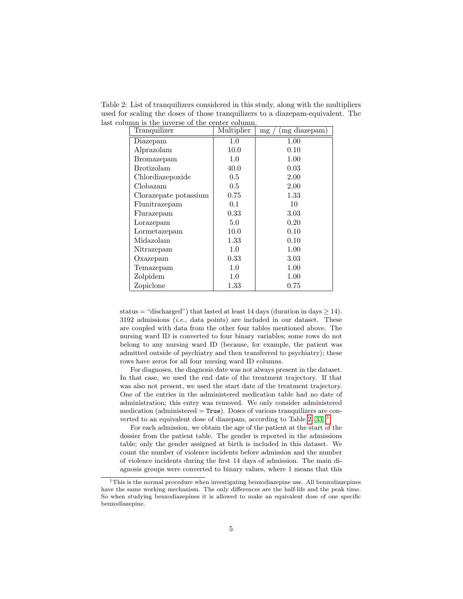Table 2: List of tranquilizers considered in this study, along with the multipliers used for scaling the doses of those tranquilizers to a diazepam-equivalent. The last column is the inverse of the center column.

<span id="page-4-0"></span>

| Tranquilizer          | Multiplier | (mg diazepam)<br>mg |
|-----------------------|------------|---------------------|
| Diazepam              | 1.0        | 1.00                |
| Alprazolam            | 10.0       | 0.10                |
| Bromazepam            | 1.0        | 1.00                |
| <b>Brotizolam</b>     | 40.0       | 0.03                |
| Chlordiazepoxide      | 0.5        | 2.00                |
| Clobazam              | 0.5        | 2.00                |
| Clorazepate potassium | 0.75       | 1.33                |
| Flunitrazepam         | 0.1        | 10                  |
| Flurazepam            | 0.33       | 3.03                |
| Lorazepam             | 5.0        | 0.20                |
| Lormetazepam          | 10.0       | 0.10                |
| Midazolam             | 1.33       | 0.10                |
| Nitrazepam            | 1.0        | 1.00                |
| Oxazepam              | 0.33       | 3.03                |
| Temazepam             | 1.0        | 1.00                |
| Zolpidem              | 1.0        | 1.00                |
| Zopiclone             | 1.33       | 0.75                |

status = "discharged") that lasted at least 14 days (duration in days  $> 14$ ).  $3192$  admissions *(i.e., data points)* are included in our dataset. These are coupled with data from the other four tables mentioned above. The nursing ward ID is converted to four binary variables; some rows do not belong to any nursing ward ID (because, for example, the patient was admitted outside of psychiatry and then transferred to psychiatry); these rows have zeros for all four nursing ward ID columns.

For diagnoses, the diagnosis date was not always present in the dataset. In that case, we used the end date of the treatment trajectory. If that was also not present, we used the start date of the treatment trajectory. One of the entries in the administered medication table had no date of administration; this entry was removed. We only consider administered medication (administered  $=$  True). Doses of various tranquilizers are converted to an equivalent dose of diazepam, according to Table  $2 \; [33]$  $2 \; [33]$ <sup>[1](#page-4-1)</sup>

For each admission, we obtain the age of the patient at the start of the dossier from the patient table. The gender is reported in the admissions table; only the gender assigned at birth is included in this dataset. We count the number of violence incidents before admission and the number of violence incidents during the first 14 days of admission. The main diagnosis groups were converted to binary values, where 1 means that this

<span id="page-4-1"></span> $1$ This is the normal procedure when investigating benzodiazepine use. All benzodiazepines have the same working mechanism. The only differences are the half-life and the peak time. So when studying benzodiazepines it is allowed to make an equivalent dose of one specific benzodiazepine.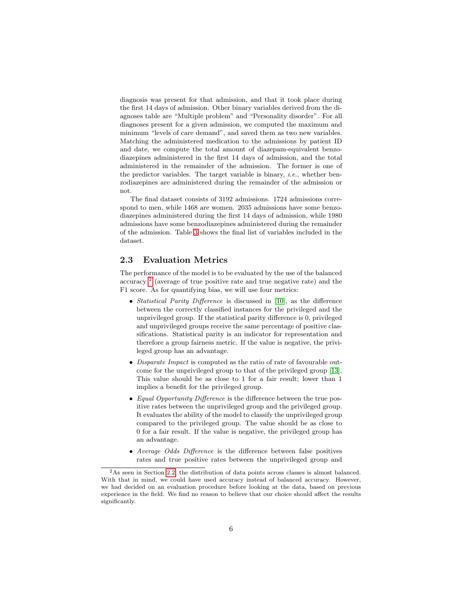diagnosis was present for that admission, and that it took place during the first 14 days of admission. Other binary variables derived from the diagnoses table are "Multiple problem" and "Personality disorder". For all diagnoses present for a given admission, we computed the maximum and minimum "levels of care demand", and saved them as two new variables. Matching the administered medication to the admissions by patient ID and date, we compute the total amount of diazepam-equivalent benzodiazepines administered in the first 14 days of admission, and the total administered in the remainder of the admission. The former is one of the predictor variables. The target variable is binary, *i.e.*, whether benzodiazepines are administered during the remainder of the admission or not.

The final dataset consists of 3192 admissions. 1724 admissions correspond to men, while 1468 are women. 2035 admissions have some benzodiazepines administered during the first 14 days of admission, while 1980 admissions have some benzodiazepines administered during the remainder of the admission. Table [3](#page-6-0) shows the final list of variables included in the dataset.

#### <span id="page-5-1"></span>2.3 Evaluation Metrics

The performance of the model is to be evaluated by the use of the balanced accuracy<sup>[2](#page-5-0)</sup> (average of true positive rate and true negative rate) and the F1 score. As for quantifying bias, we will use four metrics:

- *Statistical Parity Difference* is discussed in [\[10\]](#page-15-6), as the difference between the correctly classified instances for the privileged and the unprivileged group. If the statistical parity difference is 0, privileged and unprivileged groups receive the same percentage of positive classifications. Statistical parity is an indicator for representation and therefore a group fairness metric. If the value is negative, the privileged group has an advantage.
- Disparate Impact is computed as the ratio of rate of favourable outcome for the unprivileged group to that of the privileged group [\[13\]](#page-16-3). This value should be as close to 1 for a fair result; lower than 1 implies a benefit for the privileged group.
- Equal Opportunity Difference is the difference between the true positive rates between the unprivileged group and the privileged group. It evaluates the ability of the model to classify the unprivileged group compared to the privileged group. The value should be as close to 0 for a fair result. If the value is negative, the privileged group has an advantage.
- Average Odds Difference is the difference between false positives rates and true positive rates between the unprivileged group and

<span id="page-5-0"></span> $^{2}\mathrm{As}$  seen in Section [2.2,](#page-2-1) the distribution of data points across classes is almost balanced. With that in mind, we could have used accuracy instead of balanced accuracy. However, we had decided on an evaluation procedure before looking at the data, based on previous experience in the field. We find no reason to believe that our choice should affect the results significantly.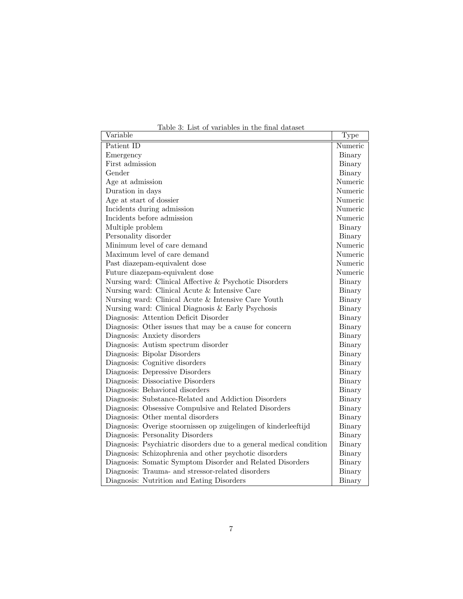<span id="page-6-0"></span>Table 3: List of variables in the final dataset

| Variable                                                            | $\overline{\mathrm{T}}$ ype |  |  |
|---------------------------------------------------------------------|-----------------------------|--|--|
| Patient ID                                                          | Numeric                     |  |  |
| Emergency                                                           | Binary                      |  |  |
| First admission                                                     | Binary                      |  |  |
| Gender                                                              | Binary                      |  |  |
| Age at admission                                                    | Numeric                     |  |  |
| Duration in days                                                    | Numeric                     |  |  |
| Age at start of dossier                                             | Numeric                     |  |  |
| Incidents during admission                                          | Numeric                     |  |  |
| Incidents before admission                                          | Numeric                     |  |  |
| Multiple problem                                                    | Binary                      |  |  |
| Personality disorder                                                | Binary                      |  |  |
| Minimum level of care demand                                        | Numeric                     |  |  |
| Maximum level of care demand                                        | Numeric                     |  |  |
| Past diazepam-equivalent dose                                       | Numeric                     |  |  |
| Future diazepam-equivalent dose                                     | Numeric                     |  |  |
| Nursing ward: Clinical Affective & Psychotic Disorders              | Binary                      |  |  |
| Nursing ward: Clinical Acute & Intensive Care                       | Binary                      |  |  |
| Nursing ward: Clinical Acute & Intensive Care Youth                 | Binary                      |  |  |
| Nursing ward: Clinical Diagnosis & Early Psychosis                  |                             |  |  |
| Diagnosis: Attention Deficit Disorder                               | Binary                      |  |  |
| Diagnosis: Other issues that may be a cause for concern             | Binary                      |  |  |
| Diagnosis: Anxiety disorders                                        | Binary                      |  |  |
| Diagnosis: Autism spectrum disorder                                 | Binary                      |  |  |
| Diagnosis: Bipolar Disorders                                        | Binary                      |  |  |
| Diagnosis: Cognitive disorders                                      | Binary                      |  |  |
| Diagnosis: Depressive Disorders                                     | Binary                      |  |  |
| Diagnosis: Dissociative Disorders                                   | Binary                      |  |  |
| Diagnosis: Behavioral disorders                                     | Binary                      |  |  |
| Diagnosis: Substance-Related and Addiction Disorders                | Binary                      |  |  |
| Diagnosis: Obsessive Compulsive and Related Disorders               | Binary                      |  |  |
| Diagnosis: Other mental disorders                                   | Binary                      |  |  |
| Diagnosis: Overige stoornissen op zuigelingen of kinderleeftijd     | Binary                      |  |  |
| Diagnosis: Personality Disorders                                    | Binary                      |  |  |
| Diagnosis: Psychiatric disorders due to a general medical condition | Binary                      |  |  |
| Diagnosis: Schizophrenia and other psychotic disorders              | Binary                      |  |  |
| Diagnosis: Somatic Symptom Disorder and Related Disorders           | Binary                      |  |  |
| Diagnosis: Trauma- and stressor-related disorders                   | Binary                      |  |  |
| Diagnosis: Nutrition and Eating Disorders                           | Binary                      |  |  |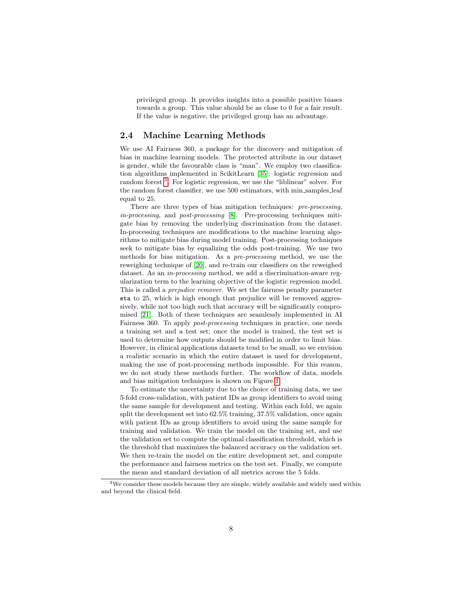privileged group. It provides insights into a possible positive biases towards a group. This value should be as close to 0 for a fair result. If the value is negative, the privileged group has an advantage.

#### <span id="page-7-1"></span>2.4 Machine Learning Methods

We use AI Fairness 360, a package for the discovery and mitigation of bias in machine learning models. The protected attribute in our dataset is gender, while the favourable class is "man". We employ two classification algorithms implemented in ScikitLearn [\[35\]](#page-18-9): logistic regression and random forest<sup>[3](#page-7-0)</sup>. For logistic regression, we use the "liblinear" solver. For the random forest classifier, we use 500 estimators, with min samples leaf equal to 25.

There are three types of bias mitigation techniques: pre-processing, in-processing, and post-processing [\[8\]](#page-15-4). Pre-processing techniques mitigate bias by removing the underlying discrimination from the dataset. In-processing techniques are modifications to the machine learning algorithms to mitigate bias during model training. Post-processing techniques seek to mitigate bias by equalizing the odds post-training. We use two methods for bias mitigation. As a pre-processing method, we use the reweighing technique of [\[20\]](#page-17-6), and re-train our classifiers on the reweighed dataset. As an in-processing method, we add a discrimination-aware regularization term to the learning objective of the logistic regression model. This is called a prejudice remover. We set the fairness penalty parameter eta to 25, which is high enough that prejudice will be removed aggressively, while not too high such that accuracy will be significantly compromised [\[21\]](#page-17-7). Both of these techniques are seamlessly implemented in AI Fairness 360. To apply post-processing techniques in practice, one needs a training set and a test set; once the model is trained, the test set is used to determine how outputs should be modified in order to limit bias. However, in clinical applications datasets tend to be small, so we envision a realistic scenario in which the entire dataset is used for development, making the use of post-processing methods impossible. For this reason, we do not study these methods further. The workflow of data, models and bias mitigation techniques is shown on Figure [1.](#page-8-2)

To estimate the uncertainty due to the choice of training data, we use 5-fold cross-validation, with patient IDs as group identifiers to avoid using the same sample for development and testing. Within each fold, we again split the development set into 62.5% training, 37.5% validation, once again with patient IDs as group identifiers to avoid using the same sample for training and validation. We train the model on the training set, and use the validation set to compute the optimal classification threshold, which is the threshold that maximizes the balanced accuracy on the validation set. We then re-train the model on the entire development set, and compute the performance and fairness metrics on the test set. Finally, we compute the mean and standard deviation of all metrics across the 5 folds.

<span id="page-7-0"></span><sup>&</sup>lt;sup>3</sup>We consider these models because they are simple, widely available and widely used within and beyond the clinical field.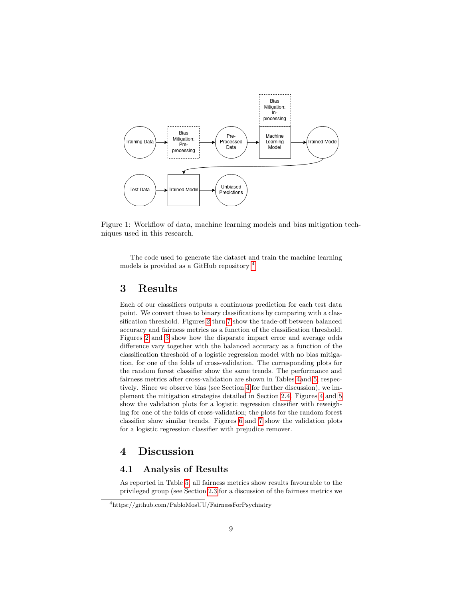

<span id="page-8-2"></span>Figure 1: Workflow of data, machine learning models and bias mitigation techniques used in this research.

The code used to generate the dataset and train the machine learning models is provided as a GitHub repository <sup>[4](#page-8-3)</sup>.

### <span id="page-8-0"></span>3 Results

Each of our classifiers outputs a continuous prediction for each test data point. We convert these to binary classifications by comparing with a classification threshold. Figures [2](#page-9-0) thru [7](#page-15-7) show the trade-off between balanced accuracy and fairness metrics as a function of the classification threshold. Figures [2](#page-9-0) and [3](#page-11-0) show how the disparate impact error and average odds difference vary together with the balanced accuracy as a function of the classification threshold of a logistic regression model with no bias mitigation, for one of the folds of cross-validation. The corresponding plots for the random forest classifier show the same trends. The performance and fairness metrics after cross-validation are shown in Tables [4a](#page-10-0)nd [5,](#page-10-1) respectively. Since we observe bias (see Section [4](#page-8-1) for further discussion), we implement the mitigation strategies detailed in Section [2.4.](#page-7-1) Figures [4](#page-12-0) and [5](#page-13-1) show the validation plots for a logistic regression classifier with reweighing for one of the folds of cross-validation; the plots for the random forest classifier show similar trends. Figures [6](#page-14-4) and [7](#page-15-7) show the validation plots for a logistic regression classifier with prejudice remover.

### <span id="page-8-1"></span>4 Discussion

### <span id="page-8-4"></span>4.1 Analysis of Results

As reported in Table [5,](#page-10-1) all fairness metrics show results favourable to the privileged group (see Section [2.3](#page-5-1) for a discussion of the fairness metrics we

<span id="page-8-3"></span><sup>4</sup>https://github.com/PabloMosUU/FairnessForPsychiatry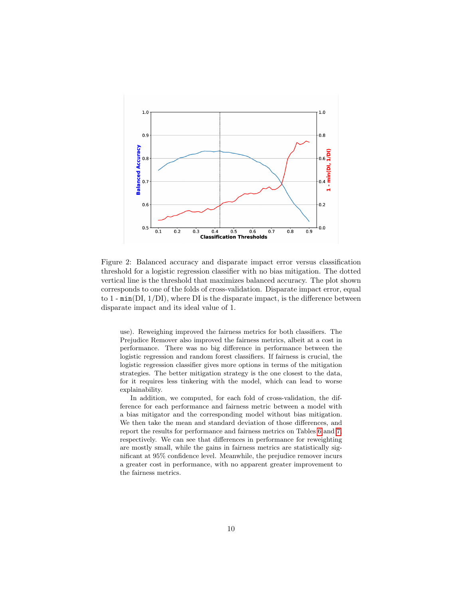

<span id="page-9-0"></span>Figure 2: Balanced accuracy and disparate impact error versus classification threshold for a logistic regression classifier with no bias mitigation. The dotted vertical line is the threshold that maximizes balanced accuracy. The plot shown corresponds to one of the folds of cross-validation. Disparate impact error, equal to 1 - min(DI, 1/DI), where DI is the disparate impact, is the difference between disparate impact and its ideal value of 1.

use). Reweighing improved the fairness metrics for both classifiers. The Prejudice Remover also improved the fairness metrics, albeit at a cost in performance. There was no big difference in performance between the logistic regression and random forest classifiers. If fairness is crucial, the logistic regression classifier gives more options in terms of the mitigation strategies. The better mitigation strategy is the one closest to the data, for it requires less tinkering with the model, which can lead to worse explainability.

In addition, we computed, for each fold of cross-validation, the difference for each performance and fairness metric between a model with a bias mitigator and the corresponding model without bias mitigation. We then take the mean and standard deviation of those differences, and report the results for performance and fairness metrics on Tables [6](#page-10-2) and [7,](#page-16-7) respectively. We can see that differences in performance for reweighting are mostly small, while the gains in fairness metrics are statistically significant at 95% confidence level. Meanwhile, the prejudice remover incurs a greater cost in performance, with no apparent greater improvement to the fairness metrics.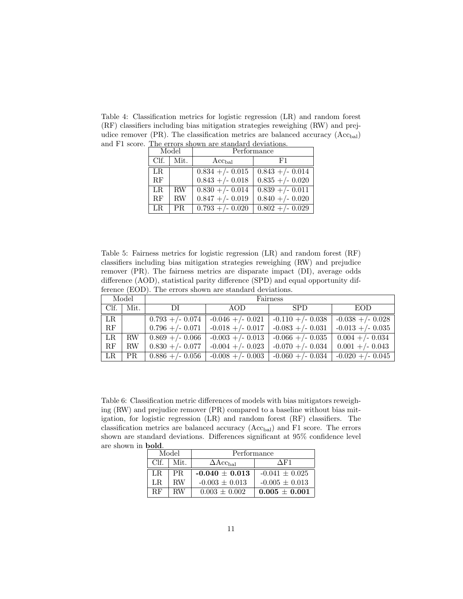<span id="page-10-0"></span>Table 4: Classification metrics for logistic regression (LR) and random forest (RF) classifiers including bias mitigation strategies reweighing (RW) and prejudice remover (PR). The classification metrics are balanced accuracy  $(Acc_{bal})$ and F1 score. The errors shown are standard deviations.

| Model |      | Performance        |                    |  |
|-------|------|--------------------|--------------------|--|
| Clf.  | Mit. | $Acc_{bal}$        | F1                 |  |
| LR.   |      | $0.834 + (-0.015)$ | $0.843 + (-0.014)$ |  |
| RF    |      | $0.843 + (-0.018)$ | $0.835 + (-0.020)$ |  |
| LR.   | RW.  | $0.830 + (-0.014)$ | $0.839 + (-0.011)$ |  |
| RF    | RW   | $0.847 + - 0.019$  | $0.840 + (-0.020)$ |  |
| LR.   | PR   | $0.793 + (-0.020)$ | $0.802 + (-0.029)$ |  |

<span id="page-10-1"></span>Table 5: Fairness metrics for logistic regression (LR) and random forest (RF) classifiers including bias mitigation strategies reweighing (RW) and prejudice remover (PR). The fairness metrics are disparate impact (DI), average odds difference (AOD), statistical parity difference (SPD) and equal opportunity difference (EOD). The errors shown are standard deviations.

| Model       |      | Fairness               |                          |                     |                     |
|-------------|------|------------------------|--------------------------|---------------------|---------------------|
| Clf.        | Mit. | DI                     | AOD                      | <b>SPD</b>          | EOD.                |
| $_{LR}$     |      | $0.793 + - 0.074$      | $-0.046 + (-0.021)$      | $-0.110 + (-0.038)$ | $-0.038 + (-0.028)$ |
| RF          |      | $0.796 + (-0.071)$     | $\vert$ -0.018 +/- 0.017 | $-0.083 + (-0.031)$ | $-0.013 + (-0.035)$ |
| LR          | RW   | $\mid$ 0.869 +/- 0.066 | $-0.003 + (-0.013)$      | $-0.066 + (-0.035)$ | $0.004 + (-0.034)$  |
| $\rm RF$    | RW   | $0.830 + (-0.077)$     | $-0.004 + (-0.023)$      | $-0.070 + (-0.034)$ | $0.001 + (-0.043)$  |
| $_{\rm LR}$ | PR   | $0.886 + (-0.056)$     | $-0.008 + (-0.003)$      | $-0.060 + (-0.034)$ | $-0.020 + (-0.045)$ |

<span id="page-10-2"></span>Table 6: Classification metric differences of models with bias mitigators reweighing (RW) and prejudice remover (PR) compared to a baseline without bias mitigation, for logistic regression (LR) and random forest (RF) classifiers. The classification metrics are balanced accuracy  $(Acc_{bal})$  and F1 score. The errors shown are standard deviations. Differences significant at 95% confidence level are shown in bold.

|  | Model<br>Clf.<br>Mit. |     | Performance                       |                    |  |
|--|-----------------------|-----|-----------------------------------|--------------------|--|
|  |                       |     | $\Delta\mathrm{Acc}_\mathrm{bal}$ | $\Delta$ F1        |  |
|  | LR.                   | PR. | $-0.040 \pm 0.013$                | $-0.041 \pm 0.025$ |  |
|  | LR.                   | RW  | $-0.003 \pm 0.013$                | $-0.005 \pm 0.013$ |  |
|  | RЕ                    | ВW  | $0.003 \pm 0.002$                 | $0.005 + 0.001$    |  |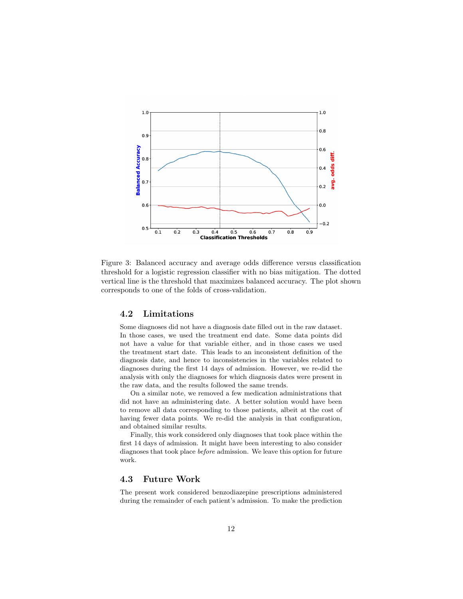

<span id="page-11-0"></span>Figure 3: Balanced accuracy and average odds difference versus classification threshold for a logistic regression classifier with no bias mitigation. The dotted vertical line is the threshold that maximizes balanced accuracy. The plot shown corresponds to one of the folds of cross-validation.

#### 4.2 Limitations

Some diagnoses did not have a diagnosis date filled out in the raw dataset. In those cases, we used the treatment end date. Some data points did not have a value for that variable either, and in those cases we used the treatment start date. This leads to an inconsistent definition of the diagnosis date, and hence to inconsistencies in the variables related to diagnoses during the first 14 days of admission. However, we re-did the analysis with only the diagnoses for which diagnosis dates were present in the raw data, and the results followed the same trends.

On a similar note, we removed a few medication administrations that did not have an administering date. A better solution would have been to remove all data corresponding to those patients, albeit at the cost of having fewer data points. We re-did the analysis in that configuration, and obtained similar results.

Finally, this work considered only diagnoses that took place within the first 14 days of admission. It might have been interesting to also consider diagnoses that took place before admission. We leave this option for future work.

#### 4.3 Future Work

The present work considered benzodiazepine prescriptions administered during the remainder of each patient's admission. To make the prediction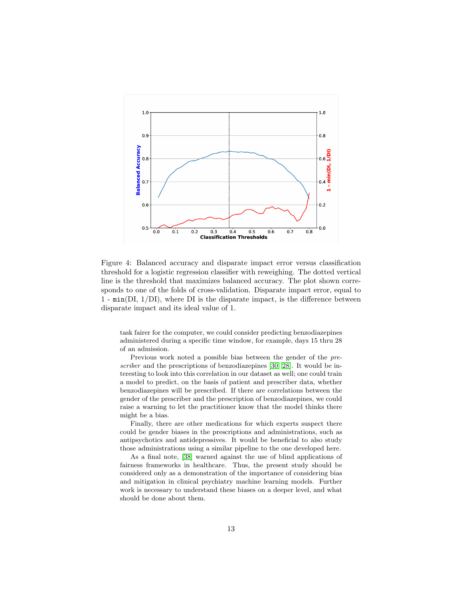

<span id="page-12-0"></span>Figure 4: Balanced accuracy and disparate impact error versus classification threshold for a logistic regression classifier with reweighing. The dotted vertical line is the threshold that maximizes balanced accuracy. The plot shown corresponds to one of the folds of cross-validation. Disparate impact error, equal to 1 - min(DI, 1/DI), where DI is the disparate impact, is the difference between disparate impact and its ideal value of 1.

task fairer for the computer, we could consider predicting benzodiazepines administered during a specific time window, for example, days 15 thru 28 of an admission.

Previous work noted a possible bias between the gender of the pre-scriber and the prescriptions of benzodiazepines [\[30,](#page-18-5) [28\]](#page-17-3). It would be interesting to look into this correlation in our dataset as well; one could train a model to predict, on the basis of patient and prescriber data, whether benzodiazepines will be prescribed. If there are correlations between the gender of the prescriber and the prescription of benzodiazepines, we could raise a warning to let the practitioner know that the model thinks there might be a bias.

Finally, there are other medications for which experts suspect there could be gender biases in the prescriptions and administrations, such as antipsychotics and antidepressives. It would be beneficial to also study those administrations using a similar pipeline to the one developed here.

As a final note, [\[38\]](#page-18-10) warned against the use of blind applications of fairness frameworks in healthcare. Thus, the present study should be considered only as a demonstration of the importance of considering bias and mitigation in clinical psychiatry machine learning models. Further work is necessary to understand these biases on a deeper level, and what should be done about them.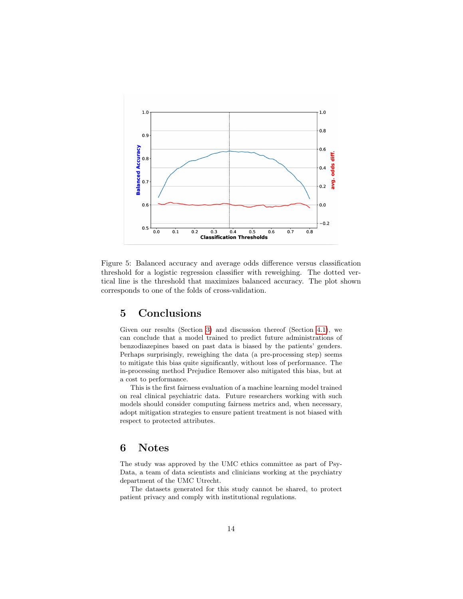

<span id="page-13-1"></span>Figure 5: Balanced accuracy and average odds difference versus classification threshold for a logistic regression classifier with reweighing. The dotted vertical line is the threshold that maximizes balanced accuracy. The plot shown corresponds to one of the folds of cross-validation.

# <span id="page-13-0"></span>5 Conclusions

Given our results (Section [3\)](#page-8-0) and discussion thereof (Section [4.1\)](#page-8-4), we can conclude that a model trained to predict future administrations of benzodiazepines based on past data is biased by the patients' genders. Perhaps surprisingly, reweighing the data (a pre-processing step) seems to mitigate this bias quite significantly, without loss of performance. The in-processing method Prejudice Remover also mitigated this bias, but at a cost to performance.

This is the first fairness evaluation of a machine learning model trained on real clinical psychiatric data. Future researchers working with such models should consider computing fairness metrics and, when necessary, adopt mitigation strategies to ensure patient treatment is not biased with respect to protected attributes.

### 6 Notes

The study was approved by the UMC ethics committee as part of Psy-Data, a team of data scientists and clinicians working at the psychiatry department of the UMC Utrecht.

The datasets generated for this study cannot be shared, to protect patient privacy and comply with institutional regulations.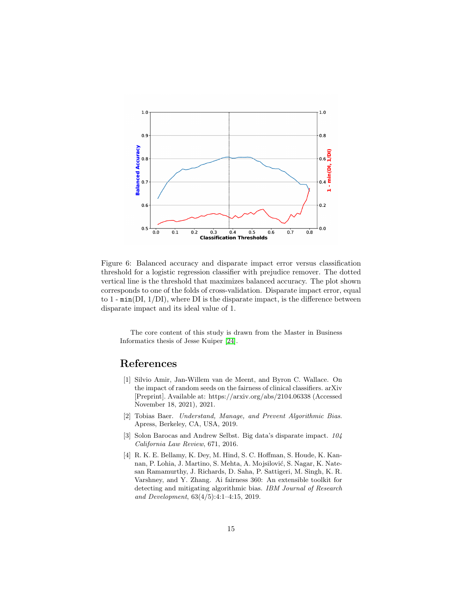

<span id="page-14-4"></span>Figure 6: Balanced accuracy and disparate impact error versus classification threshold for a logistic regression classifier with prejudice remover. The dotted vertical line is the threshold that maximizes balanced accuracy. The plot shown corresponds to one of the folds of cross-validation. Disparate impact error, equal to  $1$  -  $min(DI, 1/DI)$ , where DI is the disparate impact, is the difference between disparate impact and its ideal value of 1.

The core content of this study is drawn from the Master in Business Informatics thesis of Jesse Kuiper [\[24\]](#page-17-10).

## References

- <span id="page-14-3"></span>[1] Silvio Amir, Jan-Willem van de Meent, and Byron C. Wallace. On the impact of random seeds on the fairness of clinical classifiers. arXiv [Preprint]. Available at: https://arxiv.org/abs/2104.06338 (Accessed November 18, 2021), 2021.
- <span id="page-14-1"></span>[2] Tobias Baer. Understand, Manage, and Prevent Algorithmic Bias. Apress, Berkeley, CA, USA, 2019.
- <span id="page-14-2"></span>[3] Solon Barocas and Andrew Selbst. Big data's disparate impact. 104 California Law Review, 671, 2016.
- <span id="page-14-0"></span>[4] R. K. E. Bellamy, K. Dey, M. Hind, S. C. Hoffman, S. Houde, K. Kannan, P. Lohia, J. Martino, S. Mehta, A. Mojsilović, S. Nagar, K. Natesan Ramamurthy, J. Richards, D. Saha, P. Sattigeri, M. Singh, K. R. Varshney, and Y. Zhang. Ai fairness 360: An extensible toolkit for detecting and mitigating algorithmic bias. IBM Journal of Research and Development, 63(4/5):4:1–4:15, 2019.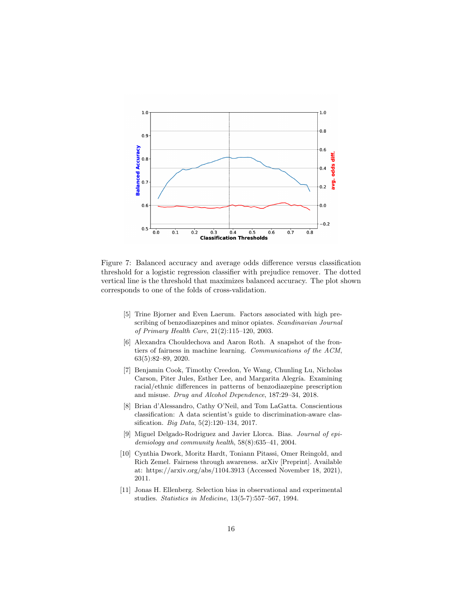

<span id="page-15-7"></span>Figure 7: Balanced accuracy and average odds difference versus classification threshold for a logistic regression classifier with prejudice remover. The dotted vertical line is the threshold that maximizes balanced accuracy. The plot shown corresponds to one of the folds of cross-validation.

- <span id="page-15-1"></span>[5] Trine Bjorner and Even Laerum. Factors associated with high prescribing of benzodiazepines and minor opiates. Scandinavian Journal of Primary Health Care, 21(2):115–120, 2003.
- <span id="page-15-5"></span>[6] Alexandra Chouldechova and Aaron Roth. A snapshot of the frontiers of fairness in machine learning. Communications of the ACM, 63(5):82–89, 2020.
- <span id="page-15-2"></span>[7] Benjamin Cook, Timothy Creedon, Ye Wang, Chunling Lu, Nicholas Carson, Piter Jules, Esther Lee, and Margarita Alegría. Examining racial/ethnic differences in patterns of benzodiazepine prescription and misuse. Drug and Alcohol Dependence, 187:29–34, 2018.
- <span id="page-15-4"></span>[8] Brian d'Alessandro, Cathy O'Neil, and Tom LaGatta. Conscientious classification: A data scientist's guide to discrimination-aware classification. Big Data, 5(2):120–134, 2017.
- <span id="page-15-0"></span>[9] Miguel Delgado-Rodriguez and Javier Llorca. Bias. Journal of epidemiology and community health, 58(8):635–41, 2004.
- <span id="page-15-6"></span>[10] Cynthia Dwork, Moritz Hardt, Toniann Pitassi, Omer Reingold, and Rich Zemel. Fairness through awareness. arXiv [Preprint]. Available at: https://arxiv.org/abs/1104.3913 (Accessed November 18, 2021), 2011.
- <span id="page-15-3"></span>[11] Jonas H. Ellenberg. Selection bias in observational and experimental studies. Statistics in Medicine, 13(5-7):557–567, 1994.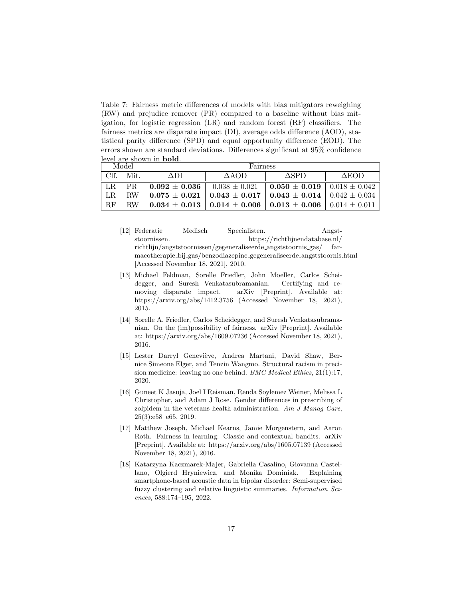<span id="page-16-7"></span>Table 7: Fairness metric differences of models with bias mitigators reweighing (RW) and prejudice remover (PR) compared to a baseline without bias mitigation, for logistic regression (LR) and random forest (RF) classifiers. The fairness metrics are disparate impact (DI), average odds difference (AOD), statistical parity difference (SPD) and equal opportunity difference (EOD). The errors shown are standard deviations. Differences significant at 95% confidence level are shown in bold.

| Model |      | Fairness          |                   |                         |                   |
|-------|------|-------------------|-------------------|-------------------------|-------------------|
| Clf.  | Mit. | ADI               | $\triangle AOD$   | ASPD                    | ΔEOD              |
| LR.   | PR.  | $0.092 + 0.036$   | $0.038 \pm 0.021$ | $0.050 \pm 0.019$       | $0.018 \pm 0.042$ |
| LR.   | RW   | $0.075 + 0.021$   | $0.043 \pm 0.017$ | $0.043 \, \pm \, 0.014$ | $0.042 \pm 0.034$ |
| RF    | RW   | $0.034 \pm 0.013$ | $0.014 \pm 0.006$ | $0.013 \, \pm \, 0.006$ | $0.014 \pm 0.011$ |

- <span id="page-16-0"></span>[12] Federatie Medisch Specialisten. Angststoornissen. https://richtlijnendatabase.nl/ richtlijn/angststoornissen/gegeneraliseerde angststoornis gas/ farmacotherapie bij gas/benzodiazepine gegeneraliseerde angststoornis.html [Accessed November 18, 2021], 2010.
- <span id="page-16-3"></span>[13] Michael Feldman, Sorelle Friedler, John Moeller, Carlos Scheidegger, and Suresh Venkatasubramanian. Certifying and removing disparate impact. arXiv [Preprint]. Available at: https://arxiv.org/abs/1412.3756 (Accessed November 18, 2021), 2015.
- <span id="page-16-2"></span>[14] Sorelle A. Friedler, Carlos Scheidegger, and Suresh Venkatasubramanian. On the (im)possibility of fairness. arXiv [Preprint]. Available at: https://arxiv.org/abs/1609.07236 (Accessed November 18, 2021), 2016.
- <span id="page-16-4"></span>[15] Lester Darryl Geneviève, Andrea Martani, David Shaw, Bernice Simeone Elger, and Tenzin Wangmo. Structural racism in precision medicine: leaving no one behind. BMC Medical Ethics, 21(1):17, 2020.
- <span id="page-16-5"></span>[16] Guneet K Jasuja, Joel I Reisman, Renda Soylemez Weiner, Melissa L Christopher, and Adam J Rose. Gender differences in prescribing of zolpidem in the veterans health administration. Am J Manag Care, 25(3):e58–e65, 2019.
- <span id="page-16-1"></span>[17] Matthew Joseph, Michael Kearns, Jamie Morgenstern, and Aaron Roth. Fairness in learning: Classic and contextual bandits. arXiv [Preprint]. Available at: https://arxiv.org/abs/1605.07139 (Accessed November 18, 2021), 2016.
- <span id="page-16-6"></span>[18] Katarzyna Kaczmarek-Majer, Gabriella Casalino, Giovanna Castellano, Olgierd Hryniewicz, and Monika Dominiak. Explaining smartphone-based acoustic data in bipolar disorder: Semi-supervised fuzzy clustering and relative linguistic summaries. Information Sciences, 588:174–195, 2022.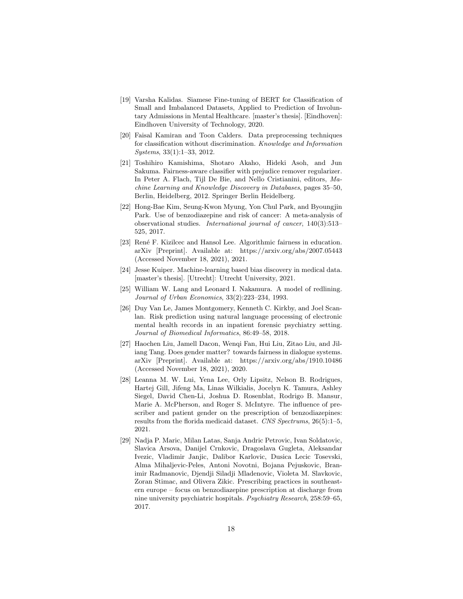- <span id="page-17-1"></span>[19] Varsha Kalidas. Siamese Fine-tuning of BERT for Classification of Small and Imbalanced Datasets, Applied to Prediction of Involuntary Admissions in Mental Healthcare. [master's thesis]. [Eindhoven]: Eindhoven University of Technology, 2020.
- <span id="page-17-6"></span>[20] Faisal Kamiran and Toon Calders. Data preprocessing techniques for classification without discrimination. Knowledge and Information Systems, 33(1):1–33, 2012.
- <span id="page-17-7"></span>[21] Toshihiro Kamishima, Shotaro Akaho, Hideki Asoh, and Jun Sakuma. Fairness-aware classifier with prejudice remover regularizer. In Peter A. Flach, Tijl De Bie, and Nello Cristianini, editors, Machine Learning and Knowledge Discovery in Databases, pages 35–50, Berlin, Heidelberg, 2012. Springer Berlin Heidelberg.
- <span id="page-17-2"></span>[22] Hong-Bae Kim, Seung-Kwon Myung, Yon Chul Park, and Byoungjin Park. Use of benzodiazepine and risk of cancer: A meta-analysis of observational studies. International journal of cancer, 140(3):513– 525, 2017.
- <span id="page-17-9"></span>[23] René F. Kizilcec and Hansol Lee. Algorithmic fairness in education. arXiv [Preprint]. Available at: https://arxiv.org/abs/2007.05443 (Accessed November 18, 2021), 2021.
- <span id="page-17-10"></span>[24] Jesse Kuiper. Machine-learning based bias discovery in medical data. [master's thesis]. [Utrecht]: Utrecht University, 2021.
- <span id="page-17-5"></span>[25] William W. Lang and Leonard I. Nakamura. A model of redlining. Journal of Urban Economics, 33(2):223–234, 1993.
- <span id="page-17-0"></span>[26] Duy Van Le, James Montgomery, Kenneth C. Kirkby, and Joel Scanlan. Risk prediction using natural language processing of electronic mental health records in an inpatient forensic psychiatry setting. Journal of Biomedical Informatics, 86:49–58, 2018.
- <span id="page-17-8"></span>[27] Haochen Liu, Jamell Dacon, Wenqi Fan, Hui Liu, Zitao Liu, and Jiliang Tang. Does gender matter? towards fairness in dialogue systems. arXiv [Preprint]. Available at: https://arxiv.org/abs/1910.10486 (Accessed November 18, 2021), 2020.
- <span id="page-17-3"></span>[28] Leanna M. W. Lui, Yena Lee, Orly Lipsitz, Nelson B. Rodrigues, Hartej Gill, Jifeng Ma, Linas Wilkialis, Jocelyn K. Tamura, Ashley Siegel, David Chen-Li, Joshua D. Rosenblat, Rodrigo B. Mansur, Marie A. McPherson, and Roger S. McIntyre. The influence of prescriber and patient gender on the prescription of benzodiazepines: results from the florida medicaid dataset. CNS Spectrums, 26(5):1–5, 2021.
- <span id="page-17-4"></span>[29] Nadja P. Maric, Milan Latas, Sanja Andric Petrovic, Ivan Soldatovic, Slavica Arsova, Danijel Crnkovic, Dragoslava Gugleta, Aleksandar Ivezic, Vladimir Janjic, Dalibor Karlovic, Dusica Lecic Tosevski, Alma Mihaljevic-Peles, Antoni Novotni, Bojana Pejuskovic, Branimir Radmanovic, Djendji Siladji Mladenovic, Violeta M. Slavkovic, Zoran Stimac, and Olivera Zikic. Prescribing practices in southeastern europe – focus on benzodiazepine prescription at discharge from nine university psychiatric hospitals. Psychiatry Research, 258:59–65, 2017.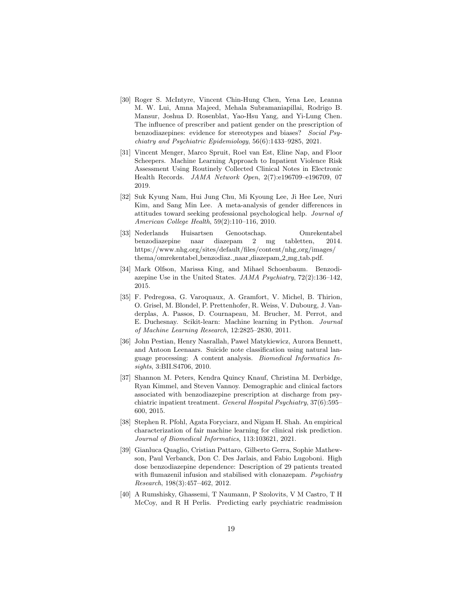- <span id="page-18-5"></span>[30] Roger S. McIntyre, Vincent Chin-Hung Chen, Yena Lee, Leanna M. W. Lui, Amna Majeed, Mehala Subramaniapillai, Rodrigo B. Mansur, Joshua D. Rosenblat, Yao-Hsu Yang, and Yi-Lung Chen. The influence of prescriber and patient gender on the prescription of benzodiazepines: evidence for stereotypes and biases? Social Psychiatry and Psychiatric Epidemiology, 56(6):1433–9285, 2021.
- <span id="page-18-1"></span>[31] Vincent Menger, Marco Spruit, Roel van Est, Eline Nap, and Floor Scheepers. Machine Learning Approach to Inpatient Violence Risk Assessment Using Routinely Collected Clinical Notes in Electronic Health Records. JAMA Network Open, 2(7):e196709–e196709, 07 2019.
- <span id="page-18-6"></span>[32] Suk Kyung Nam, Hui Jung Chu, Mi Kyoung Lee, Ji Hee Lee, Nuri Kim, and Sang Min Lee. A meta-analysis of gender differences in attitudes toward seeking professional psychological help. Journal of American College Health, 59(2):110–116, 2010.
- <span id="page-18-8"></span>[33] Nederlands Huisartsen Genootschap. Omrekentabel benzodiazepine naar diazepam 2 mg tabletten, 2014. https://www.nhg.org/sites/default/files/content/nhg org/images/ thema/omrekentabel benzodiaz. naar diazepam 2 mg tab.pdf.
- <span id="page-18-4"></span>[34] Mark Olfson, Marissa King, and Mihael Schoenbaum. Benzodiazepine Use in the United States. JAMA Psychiatry, 72(2):136–142, 2015.
- <span id="page-18-9"></span>[35] F. Pedregosa, G. Varoquaux, A. Gramfort, V. Michel, B. Thirion, O. Grisel, M. Blondel, P. Prettenhofer, R. Weiss, V. Dubourg, J. Vanderplas, A. Passos, D. Cournapeau, M. Brucher, M. Perrot, and E. Duchesnay. Scikit-learn: Machine learning in Python. Journal of Machine Learning Research, 12:2825–2830, 2011.
- <span id="page-18-0"></span>[36] John Pestian, Henry Nasrallah, Pawel Matykiewicz, Aurora Bennett, and Antoon Leenaars. Suicide note classification using natural language processing: A content analysis. Biomedical Informatics Insights, 3:BII.S4706, 2010.
- <span id="page-18-3"></span>[37] Shannon M. Peters, Kendra Quincy Knauf, Christina M. Derbidge, Ryan Kimmel, and Steven Vannoy. Demographic and clinical factors associated with benzodiazepine prescription at discharge from psychiatric inpatient treatment. General Hospital Psychiatry, 37(6):595– 600, 2015.
- <span id="page-18-10"></span>[38] Stephen R. Pfohl, Agata Foryciarz, and Nigam H. Shah. An empirical characterization of fair machine learning for clinical risk prediction. Journal of Biomedical Informatics, 113:103621, 2021.
- <span id="page-18-2"></span>[39] Gianluca Quaglio, Cristian Pattaro, Gilberto Gerra, Sophie Mathewson, Paul Verbanck, Don C. Des Jarlais, and Fabio Lugoboni. High dose benzodiazepine dependence: Description of 29 patients treated with flumazenil infusion and stabilised with clonazepam. Psychiatry Research, 198(3):457–462, 2012.
- <span id="page-18-7"></span>[40] A Rumshisky, Ghassemi, T Naumann, P Szolovits, V M Castro, T H McCoy, and R H Perlis. Predicting early psychiatric readmission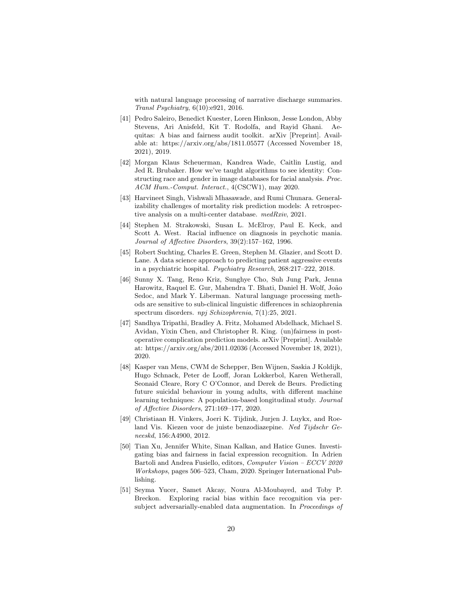with natural language processing of narrative discharge summaries. Transl Psychiatry, 6(10):e921, 2016.

- <span id="page-19-3"></span>[41] Pedro Saleiro, Benedict Kuester, Loren Hinkson, Jesse London, Abby Stevens, Ari Anisfeld, Kit T. Rodolfa, and Rayid Ghani. Aequitas: A bias and fairness audit toolkit. arXiv [Preprint]. Available at: https://arxiv.org/abs/1811.05577 (Accessed November 18, 2021), 2019.
- <span id="page-19-4"></span>[42] Morgan Klaus Scheuerman, Kandrea Wade, Caitlin Lustig, and Jed R. Brubaker. How we've taught algorithms to see identity: Constructing race and gender in image databases for facial analysis. Proc. ACM Hum.-Comput. Interact., 4(CSCW1), may 2020.
- <span id="page-19-8"></span>[43] Harvineet Singh, Vishwali Mhasawade, and Rumi Chunara. Generalizability challenges of mortality risk prediction models: A retrospective analysis on a multi-center database. medRxiv, 2021.
- <span id="page-19-9"></span>[44] Stephen M. Strakowski, Susan L. McElroy, Paul E. Keck, and Scott A. West. Racial influence on diagnosis in psychotic mania. Journal of Affective Disorders, 39(2):157–162, 1996.
- <span id="page-19-0"></span>[45] Robert Suchting, Charles E. Green, Stephen M. Glazier, and Scott D. Lane. A data science approach to predicting patient aggressive events in a psychiatric hospital. Psychiatry Research, 268:217–222, 2018.
- <span id="page-19-10"></span>[46] Sunny X. Tang, Reno Kriz, Sunghye Cho, Suh Jung Park, Jenna Harowitz, Raquel E. Gur, Mahendra T. Bhati, Daniel H. Wolf, João Sedoc, and Mark Y. Liberman. Natural language processing methods are sensitive to sub-clinical linguistic differences in schizophrenia spectrum disorders. npj Schizophrenia, 7(1):25, 2021.
- <span id="page-19-7"></span>[47] Sandhya Tripathi, Bradley A. Fritz, Mohamed Abdelhack, Michael S. Avidan, Yixin Chen, and Christopher R. King. (un)fairness in postoperative complication prediction models. arXiv [Preprint]. Available at: https://arxiv.org/abs/2011.02036 (Accessed November 18, 2021), 2020.
- <span id="page-19-1"></span>[48] Kasper van Mens, CWM de Schepper, Ben Wijnen, Saskia J Koldijk, Hugo Schnack, Peter de Looff, Joran Lokkerbol, Karen Wetherall, Seonaid Cleare, Rory C O'Connor, and Derek de Beurs. Predicting future suicidal behaviour in young adults, with different machine learning techniques: A population-based longitudinal study. Journal of Affective Disorders, 271:169–177, 2020.
- <span id="page-19-2"></span>[49] Christiaan H. Vinkers, Joeri K. Tijdink, Jurjen J. Luykx, and Roeland Vis. Kiezen voor de juiste benzodiazepine. Ned Tijdschr Geneeskd, 156:A4900, 2012.
- <span id="page-19-5"></span>[50] Tian Xu, Jennifer White, Sinan Kalkan, and Hatice Gunes. Investigating bias and fairness in facial expression recognition. In Adrien Bartoli and Andrea Fusiello, editors, Computer Vision – ECCV 2020 Workshops, pages 506–523, Cham, 2020. Springer International Publishing.
- <span id="page-19-6"></span>[51] Seyma Yucer, Samet Akcay, Noura Al-Moubayed, and Toby P. Breckon. Exploring racial bias within face recognition via persubject adversarially-enabled data augmentation. In Proceedings of